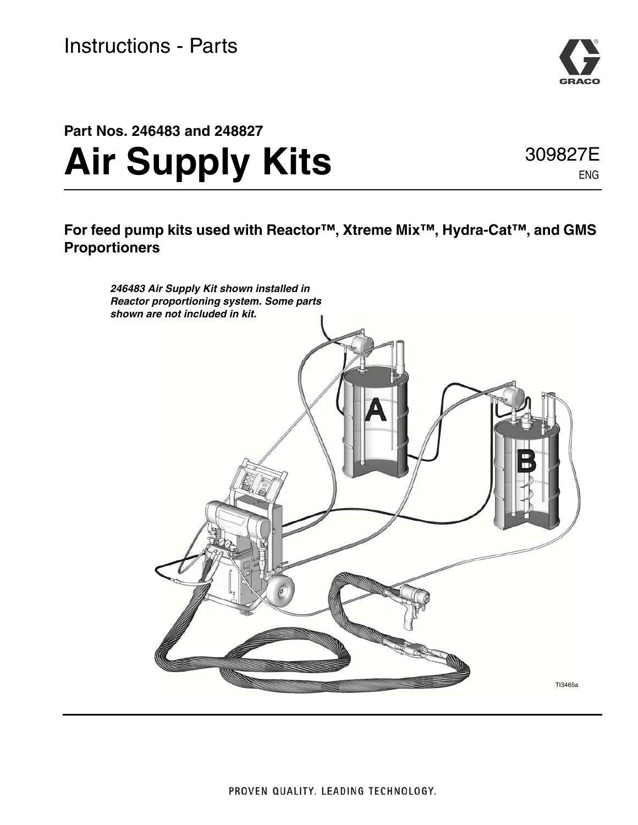

# **Part Nos. 246483 and 248827 Air Supply Kits**

309827E ENG

**For feed pump kits used with Reactor™, Xtreme Mix™, Hydra-Cat™, and GMS Proportioners**

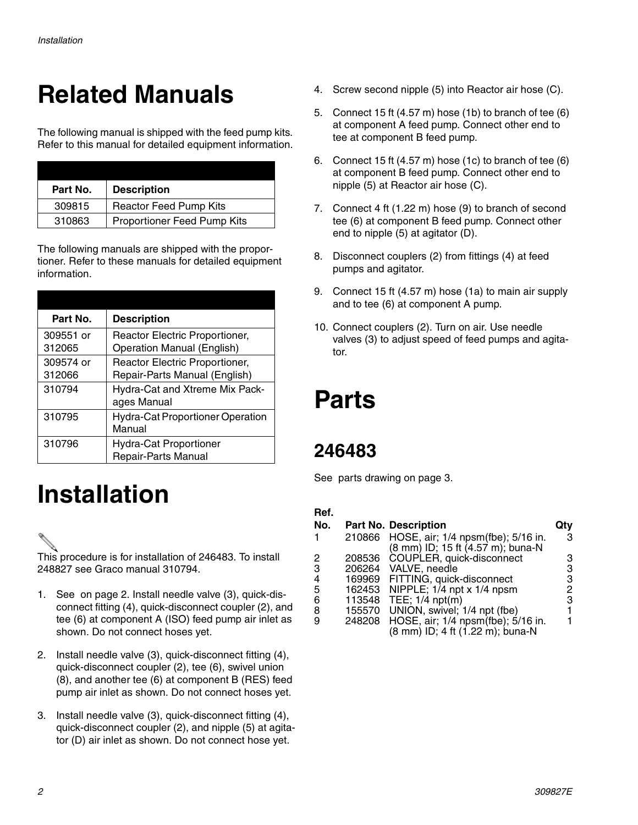## **Related Manuals**

The following manual is shipped with the feed pump kits. Refer to this manual for detailed equipment information.

| Part No. | <b>Description</b>            |
|----------|-------------------------------|
| 309815   | <b>Reactor Feed Pump Kits</b> |
| 310863   | Proportioner Feed Pump Kits   |

The following manuals are shipped with the proportioner. Refer to these manuals for detailed equipment information.

| Part No.            | <b>Description</b>                                                  |
|---------------------|---------------------------------------------------------------------|
| 309551 or<br>312065 | Reactor Electric Proportioner,<br><b>Operation Manual (English)</b> |
| 309574 or<br>312066 | Reactor Electric Proportioner,<br>Repair-Parts Manual (English)     |
| 310794              | Hydra-Cat and Xtreme Mix Pack-<br>ages Manual                       |
| 310795              | <b>Hydra-Cat Proportioner Operation</b><br>Manual                   |
| 310796              | <b>Hydra-Cat Proportioner</b><br>Repair-Parts Manual                |

## **Installation**

This procedure is for installation of 246483. To install 248827 see Graco manual 310794.

- 1. See on page 2. Install needle valve (3), quick-disconnect fitting (4), quick-disconnect coupler (2), and tee (6) at component A (ISO) feed pump air inlet as shown. Do not connect hoses yet.
- 2. Install needle valve (3), quick-disconnect fitting (4), quick-disconnect coupler (2), tee (6), swivel union (8), and another tee (6) at component B (RES) feed pump air inlet as shown. Do not connect hoses yet.
- 3. Install needle valve (3), quick-disconnect fitting (4), quick-disconnect coupler (2), and nipple (5) at agitator (D) air inlet as shown. Do not connect hose yet.
- 4. Screw second nipple (5) into Reactor air hose (C).
- 5. Connect 15 ft (4.57 m) hose (1b) to branch of tee (6) at component A feed pump. Connect other end to tee at component B feed pump.
- 6. Connect 15 ft (4.57 m) hose (1c) to branch of tee (6) at component B feed pump. Connect other end to nipple (5) at Reactor air hose (C).
- 7. Connect 4 ft (1.22 m) hose (9) to branch of second tee (6) at component B feed pump. Connect other end to nipple (5) at agitator (D).
- 8. Disconnect couplers (2) from fittings (4) at feed pumps and agitator.
- 9. Connect 15 ft (4.57 m) hose (1a) to main air supply and to tee (6) at component A pump.
- 10. Connect couplers (2). Turn on air. Use needle valves (3) to adjust speed of feed pumps and agitator.

## **Parts**

### **246483**

See parts drawing on page [3](#page-2-0).

### **Ref.**

| No. |        | <b>Part No. Description</b>               |   |
|-----|--------|-------------------------------------------|---|
| 1   |        | 210866 HOSE, air; 1/4 npsm(fbe); 5/16 in. | 3 |
|     |        | (8 mm) ID; 15 ft (4.57 m); buna-N         |   |
| 2   | 208536 | COUPLER, quick-disconnect                 |   |
| 3   |        | 206264 VALVE, needle                      | 3 |
| 4   |        | 169969 FITTING, quick-disconnect          |   |
| 5   | 162453 | NIPPLE; $1/4$ npt x $1/4$ npsm            | 2 |
| 6   |        | 113548 TEE; 1/4 npt(m)                    | З |
| 8   | 155570 | UNION, swivel; 1/4 npt (fbe)              |   |
| 9   | 248208 | HOSE, air; 1/4 npsm(fbe); 5/16 in.        |   |
|     |        | (8 mm) ID; 4 ft (1.22 m); buna-N          |   |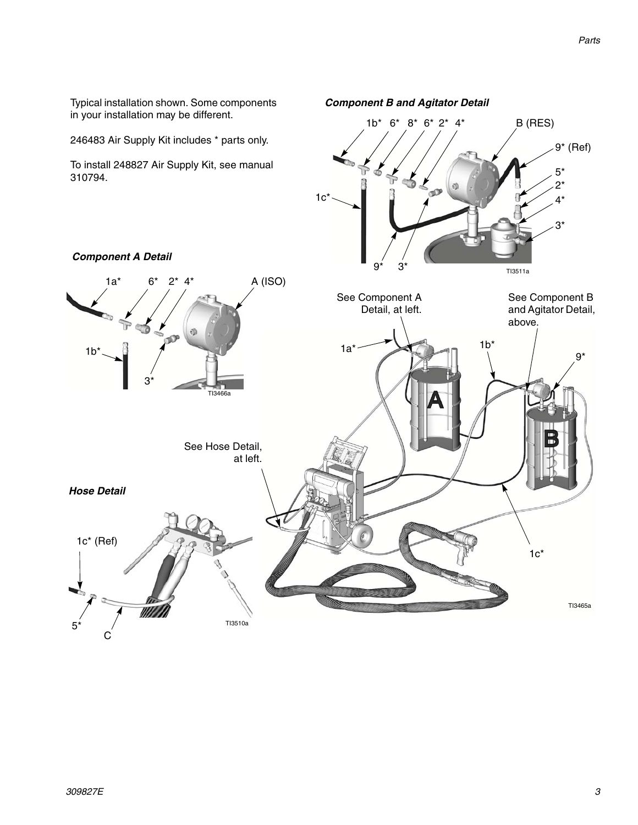<span id="page-2-0"></span>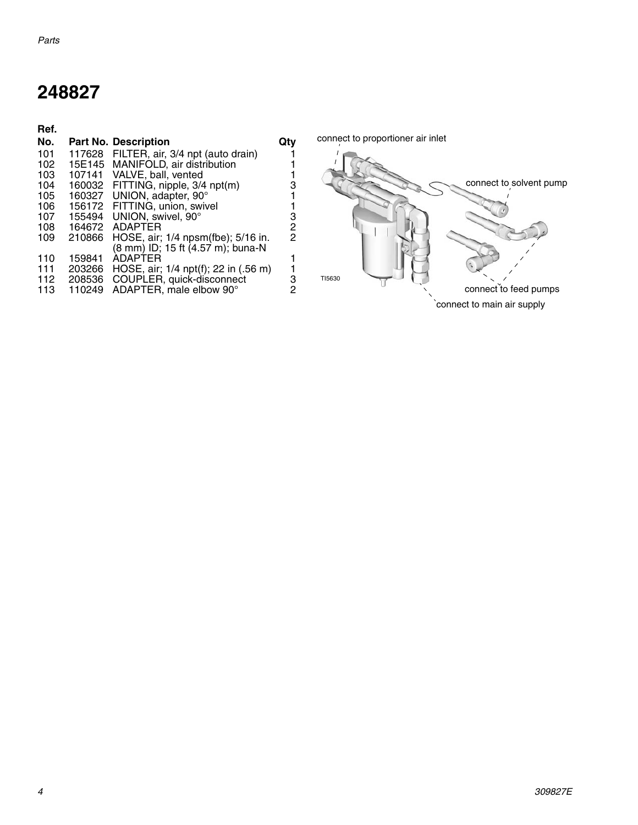### **248827**

| Ref. |        |                                          |     |         |
|------|--------|------------------------------------------|-----|---------|
| No.  |        | <b>Part No. Description</b>              | Qtv | connect |
| 101  |        | 117628 FILTER, air, 3/4 npt (auto drain) |     |         |
| 102  |        | 15E145 MANIFOLD, air distribution        |     |         |
| 103  |        | 107141 VALVE, ball, vented               |     |         |
| 104  |        | 160032 FITTING, nipple, 3/4 npt(m)       | 3   |         |
| 105  |        | 160327 UNION, adapter, 90°               |     |         |
| 106  |        | 156172 FITTING, union, swivel            |     |         |
| 107  | 155494 | UNION, swivel, 90°                       | З   |         |
| 108  | 164672 | ADAPTER                                  | 2   |         |
| 109  | 210866 | HOSE, air; 1/4 npsm(fbe); 5/16 in.       | 2   |         |
|      |        | (8 mm) ID; 15 ft (4.57 m); buna-N        |     |         |
| 110  | 159841 | <b>ADAPTER</b>                           |     |         |
| 111  | 203266 | HOSE, air; 1/4 npt(f); 22 in (.56 m)     |     |         |
| 112  | 208536 | COUPLER, quick-disconnect                | 3   | TI5630  |
| 113  | 110249 | ADAPTER, male elbow 90°                  | 2   |         |

t to proportioner air inlet connect to solvent pump connect to feed pumps connect to main air supply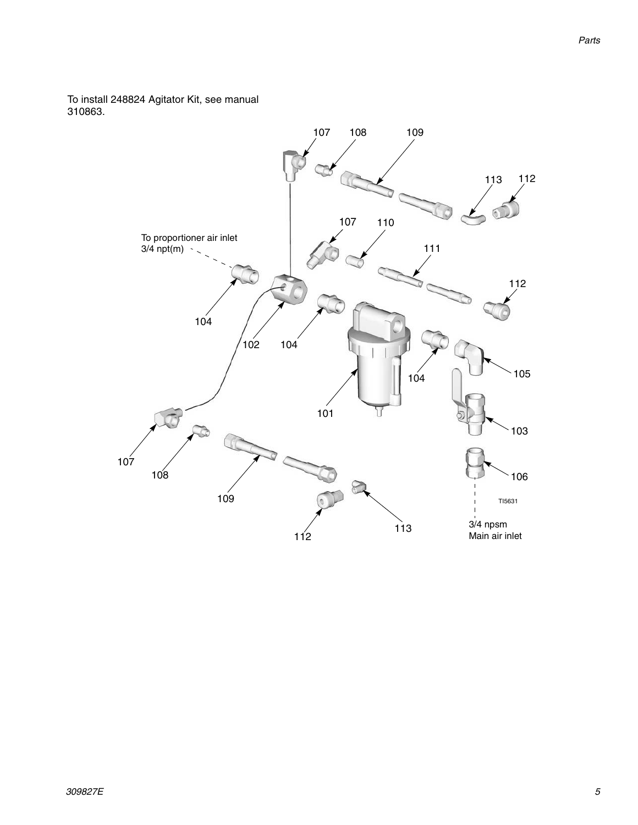To install 248824 Agitator Kit, see manual 310863.

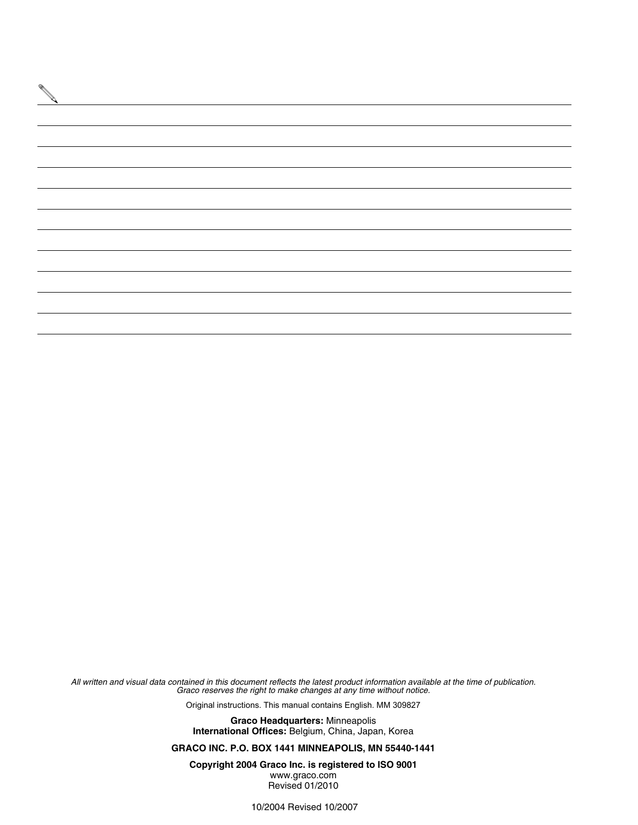

*All written and visual data contained in this document reflects the latest product information available at the time of publication. Graco reserves the right to make changes at any time without notice.*

Original instructions. This manual contains English. MM 309827

**Graco Headquarters:** Minneapolis **International Offices:** Belgium, China, Japan, Korea

**GRACO INC. P.O. BOX 1441 MINNEAPOLIS, MN 55440-1441**

**Copyright 2004 Graco Inc. is registered to ISO 9001** www.graco.com Revised 01/2010

10/2004 Revised 10/2007